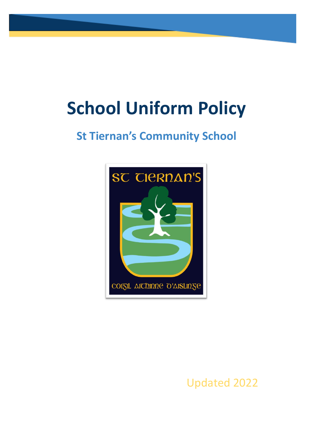# **School Uniform Policy**

# **St Tiernan's Community School**



Updated 2022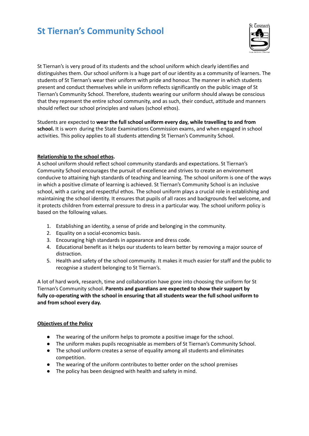

St Tiernan's is very proud of its students and the school uniform which clearly identifies and distinguishes them. Our school uniform is a huge part of our identity as a community of learners. The students of St Tiernan's wear their uniform with pride and honour. The manner in which students present and conduct themselves while in uniform reflects significantly on the public image of St Tiernan's Community School. Therefore, students wearing our uniform should always be conscious that they represent the entire school community, and as such, their conduct, attitude and manners should reflect our school principles and values (school ethos).

Students are expected to **wear the full school uniform every day, while travelling to and from school.** It is worn during the State Examinations Commission exams, and when engaged in school activities. This policy applies to all students attending St Tiernan's Community School.

#### **Relationship to the school ethos.**

A school uniform should reflect school community standards and expectations. St Tiernan's Community School encourages the pursuit of excellence and strives to create an environment conducive to attaining high standards of teaching and learning. The school uniform is one of the ways in which a positive climate of learning is achieved. St Tiernan's Community School is an inclusive school, with a caring and respectful ethos. The school uniform plays a crucial role in establishing and maintaining the school identity. It ensures that pupils of all races and backgrounds feel welcome, and it protects children from external pressure to dress in a particular way. The school uniform policy is based on the following values.

- 1. Establishing an identity, a sense of pride and belonging in the community.
- 2. Equality on a social-economics basis.
- 3. Encouraging high standards in appearance and dress code.
- 4. Educational benefit as it helps our students to learn better by removing a major source of distraction.
- 5. Health and safety of the school community. It makes it much easier for staff and the public to recognise a student belonging to St Tiernan's.

A lot of hard work, research, time and collaboration have gone into choosing the uniform for St Tiernan's Community school. **Parents and guardians are expected to show their support by fully co-operating with the school in ensuring that all students wear the full school uniform to and from school every day.**

#### **Objectives of the Policy**

- The wearing of the uniform helps to promote a positive image for the school.
- The uniform makes pupils recognisable as members of St Tiernan's Community School.
- The school uniform creates a sense of equality among all students and eliminates competition.
- The wearing of the uniform contributes to better order on the school premises
- The policy has been designed with health and safety in mind.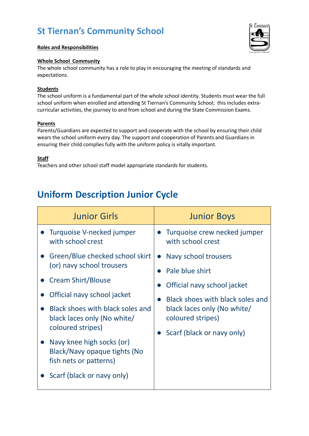



#### **Whole School Community**

The whole school community has a role to play in encouraging the meeting of standards and expectations.

#### **Students**

The school uniform is a fundamental part of the whole school identity. Students must wear the full school uniform when enrolled and attending St Tiernan's Community School; this includes extracurricular activities, the journey to and from school and during the State Commission Exams.

#### **Parents**

Parents/Guardians are expected to support and cooperate with the school by ensuring their child wears the school uniform every day. The support and cooperation of Parents and Guardians in ensuring their child complies fully with the uniform policy is vitally important.

#### **Staff**

Teachers and other school staff model appropriate standards for students.

# **Uniform Description Junior Cycle**

| <b>Junior Girls</b>                                                                                                                                                                                                                      | <b>Junior Boys</b>                                                                                                                                                                             |
|------------------------------------------------------------------------------------------------------------------------------------------------------------------------------------------------------------------------------------------|------------------------------------------------------------------------------------------------------------------------------------------------------------------------------------------------|
| Turquoise V-necked jumper<br>with school crest                                                                                                                                                                                           | Turquoise crew necked jumper<br>with school crest                                                                                                                                              |
| • Green/Blue checked school skirt<br>(or) navy school trousers<br><b>Cream Shirt/Blouse</b>                                                                                                                                              | • Navy school trousers<br>Pale blue shirt<br>Official navy school jacket<br>Black shoes with black soles and<br>black laces only (No white/<br>coloured stripes)<br>Scarf (black or navy only) |
| Official navy school jacket<br>Black shoes with black soles and<br>black laces only (No white/<br>coloured stripes)<br>Navy knee high socks (or)<br>Black/Navy opaque tights (No<br>fish nets or patterns)<br>Scarf (black or navy only) |                                                                                                                                                                                                |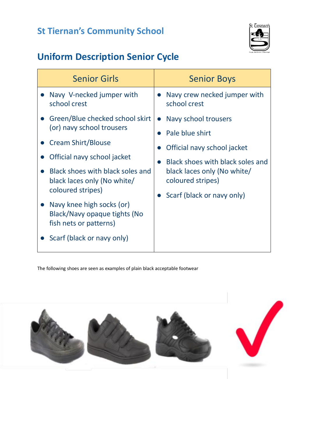

# **Uniform Description Senior Cycle**

| <b>Senior Girls</b>                                                                                                                                                                                                                                                                                                              | <b>Senior Boys</b>                                                                                                                                                                                        |
|----------------------------------------------------------------------------------------------------------------------------------------------------------------------------------------------------------------------------------------------------------------------------------------------------------------------------------|-----------------------------------------------------------------------------------------------------------------------------------------------------------------------------------------------------------|
| Navy V-necked jumper with<br>school crest                                                                                                                                                                                                                                                                                        | Navy crew necked jumper with<br>school crest                                                                                                                                                              |
| Green/Blue checked school skirt<br>(or) navy school trousers<br>• Cream Shirt/Blouse<br>Official navy school jacket<br>Black shoes with black soles and<br>black laces only (No white/<br>coloured stripes)<br>Navy knee high socks (or)<br>Black/Navy opaque tights (No<br>fish nets or patterns)<br>Scarf (black or navy only) | Navy school trousers<br>$\bullet$<br>Pale blue shirt<br>Official navy school jacket<br>Black shoes with black soles and<br>black laces only (No white/<br>coloured stripes)<br>Scarf (black or navy only) |

The following shoes are seen as examples of plain black acceptable footwear

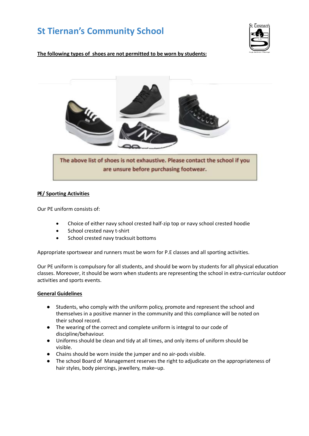

**The following types of shoes are not permitted to be worn by students:**



#### **PE/ Sporting Activities**

Our PE uniform consists of:

- Choice of either navy school crested half-zip top or navy school crested hoodie
- School crested navy t-shirt
- School crested navy tracksuit bottoms

Appropriate sportswear and runners must be worn for P.E classes and all sporting activities.

Our PE uniform is compulsory for all students, and should be worn by students for all physical education classes. Moreover, it should be worn when students are representing the school in extra-curricular outdoor activities and sports events.

#### **General Guidelines**

- Students, who comply with the uniform policy, promote and represent the school and themselves in a positive manner in the community and this compliance will be noted on their school record.
- The wearing of the correct and complete uniform is integral to our code of discipline/behaviour.
- Uniforms should be clean and tidy at all times, and only items of uniform should be visible.
- Chains should be worn inside the jumper and no air-pods visible.
- The school Board of Management reserves the right to adjudicate on the appropriateness of hair styles, body piercings, jewellery, make–up.